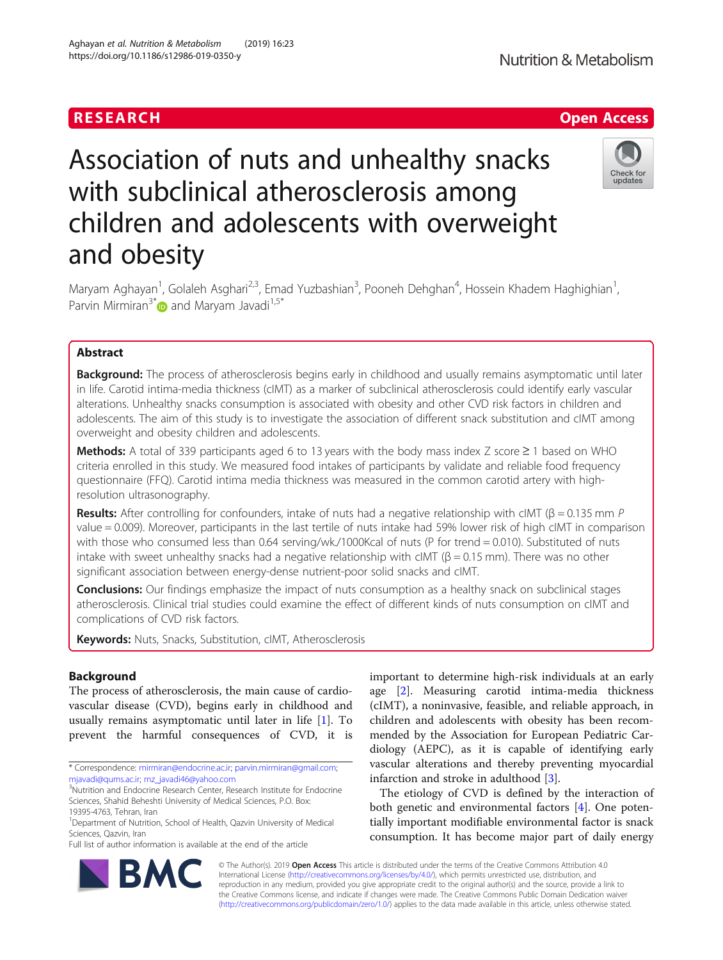# Association of nuts and unhealthy snacks with subclinical atherosclerosis among children and adolescents with overweight and obesity

Maryam Aghayan<sup>1</sup>, Golaleh Asghari<sup>2,3</sup>, Emad Yuzbashian<sup>3</sup>, Pooneh Dehghan<sup>4</sup>, Hossein Khadem Haghighian<sup>1</sup> , Parvin Mirmiran<sup>3[\\*](http://orcid.org/0000-0003-2391-4924)</sup> and Marvam Javadi<sup>1,5\*</sup>

# Abstract

**Background:** The process of atherosclerosis begins early in childhood and usually remains asymptomatic until later in life. Carotid intima-media thickness (cIMT) as a marker of subclinical atherosclerosis could identify early vascular alterations. Unhealthy snacks consumption is associated with obesity and other CVD risk factors in children and adolescents. The aim of this study is to investigate the association of different snack substitution and cIMT among overweight and obesity children and adolescents.

Methods: A total of 339 participants aged 6 to 13 years with the body mass index Z score ≥ 1 based on WHO criteria enrolled in this study. We measured food intakes of participants by validate and reliable food frequency questionnaire (FFQ). Carotid intima media thickness was measured in the common carotid artery with highresolution ultrasonography.

Results: After controlling for confounders, intake of nuts had a negative relationship with cIMT (β = 0.135 mm P value = 0.009). Moreover, participants in the last tertile of nuts intake had 59% lower risk of high cIMT in comparison with those who consumed less than 0.64 serving/wk./1000Kcal of nuts (P for trend = 0.010). Substituted of nuts intake with sweet unhealthy snacks had a negative relationship with cIMT ( $β = 0.15$  mm). There was no other significant association between energy-dense nutrient-poor solid snacks and cIMT.

**Conclusions:** Our findings emphasize the impact of nuts consumption as a healthy snack on subclinical stages atherosclerosis. Clinical trial studies could examine the effect of different kinds of nuts consumption on cIMT and complications of CVD risk factors.

Keywords: Nuts, Snacks, Substitution, cIMT, Atherosclerosis

# Background

The process of atherosclerosis, the main cause of cardiovascular disease (CVD), begins early in childhood and usually remains asymptomatic until later in life [\[1](#page-8-0)]. To prevent the harmful consequences of CVD, it is

Full list of author information is available at the end of the article

important to determine high-risk individuals at an early age [[2\]](#page-8-0). Measuring carotid intima-media thickness (cIMT), a noninvasive, feasible, and reliable approach, in children and adolescents with obesity has been recommended by the Association for European Pediatric Cardiology (AEPC), as it is capable of identifying early vascular alterations and thereby preventing myocardial infarction and stroke in adulthood [[3\]](#page-8-0).

The etiology of CVD is defined by the interaction of both genetic and environmental factors [\[4](#page-8-0)]. One potentially important modifiable environmental factor is snack consumption. It has become major part of daily energy

© The Author(s). 2019 **Open Access** This article is distributed under the terms of the Creative Commons Attribution 4.0 International License [\(http://creativecommons.org/licenses/by/4.0/](http://creativecommons.org/licenses/by/4.0/)), which permits unrestricted use, distribution, and reproduction in any medium, provided you give appropriate credit to the original author(s) and the source, provide a link to the Creative Commons license, and indicate if changes were made. The Creative Commons Public Domain Dedication waiver [\(http://creativecommons.org/publicdomain/zero/1.0/](http://creativecommons.org/publicdomain/zero/1.0/)) applies to the data made available in this article, unless otherwise stated.







<sup>\*</sup> Correspondence: [mirmiran@endocrine.ac.ir](mailto:mirmiran@endocrine.ac.ir); [parvin.mirmiran@gmail.com](mailto:parvin.mirmiran@gmail.com); [mjavadi@qums.ac.ir](mailto:mjavadi@qums.ac.ir); [mz\\_javadi46@yahoo.com](mailto:mz_javadi46@yahoo.com) <sup>3</sup>

<sup>&</sup>lt;sup>3</sup>Nutrition and Endocrine Research Center, Research Institute for Endocrine Sciences, Shahid Beheshti University of Medical Sciences, P.O. Box: 19395-4763, Tehran, Iran

<sup>&</sup>lt;sup>1</sup>Department of Nutrition, School of Health, Qazvin University of Medical Sciences, Qazvin, Iran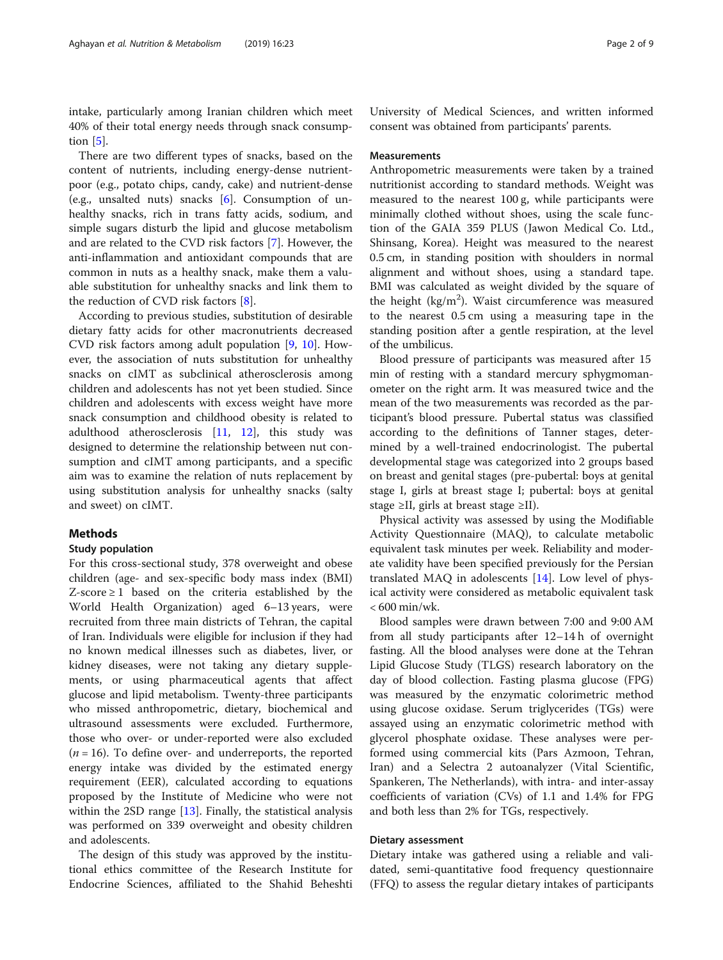intake, particularly among Iranian children which meet 40% of their total energy needs through snack consumption [\[5\]](#page-8-0).

There are two different types of snacks, based on the content of nutrients, including energy-dense nutrientpoor (e.g., potato chips, candy, cake) and nutrient-dense (e.g., unsalted nuts) snacks [\[6](#page-8-0)]. Consumption of unhealthy snacks, rich in trans fatty acids, sodium, and simple sugars disturb the lipid and glucose metabolism and are related to the CVD risk factors [\[7](#page-8-0)]. However, the anti-inflammation and antioxidant compounds that are common in nuts as a healthy snack, make them a valuable substitution for unhealthy snacks and link them to the reduction of CVD risk factors [[8\]](#page-8-0).

According to previous studies, substitution of desirable dietary fatty acids for other macronutrients decreased CVD risk factors among adult population [[9,](#page-8-0) [10](#page-8-0)]. However, the association of nuts substitution for unhealthy snacks on cIMT as subclinical atherosclerosis among children and adolescents has not yet been studied. Since children and adolescents with excess weight have more snack consumption and childhood obesity is related to adulthood atherosclerosis [\[11,](#page-8-0) [12](#page-8-0)], this study was designed to determine the relationship between nut consumption and cIMT among participants, and a specific aim was to examine the relation of nuts replacement by using substitution analysis for unhealthy snacks (salty and sweet) on cIMT.

# Methods

# Study population

For this cross-sectional study, 378 overweight and obese children (age- and sex-specific body mass index (BMI) Z-score  $\geq 1$  based on the criteria established by the World Health Organization) aged 6–13 years, were recruited from three main districts of Tehran, the capital of Iran. Individuals were eligible for inclusion if they had no known medical illnesses such as diabetes, liver, or kidney diseases, were not taking any dietary supplements, or using pharmaceutical agents that affect glucose and lipid metabolism. Twenty-three participants who missed anthropometric, dietary, biochemical and ultrasound assessments were excluded. Furthermore, those who over- or under-reported were also excluded  $(n = 16)$ . To define over- and underreports, the reported energy intake was divided by the estimated energy requirement (EER), calculated according to equations proposed by the Institute of Medicine who were not within the 2SD range [\[13](#page-8-0)]. Finally, the statistical analysis was performed on 339 overweight and obesity children and adolescents.

The design of this study was approved by the institutional ethics committee of the Research Institute for Endocrine Sciences, affiliated to the Shahid Beheshti

University of Medical Sciences, and written informed consent was obtained from participants' parents.

## Measurements

Anthropometric measurements were taken by a trained nutritionist according to standard methods. Weight was measured to the nearest 100 g, while participants were minimally clothed without shoes, using the scale function of the GAIA 359 PLUS (Jawon Medical Co. Ltd., Shinsang, Korea). Height was measured to the nearest 0.5 cm, in standing position with shoulders in normal alignment and without shoes, using a standard tape. BMI was calculated as weight divided by the square of the height ( $\text{kg/m}^2$ ). Waist circumference was measured to the nearest 0.5 cm using a measuring tape in the standing position after a gentle respiration, at the level of the umbilicus.

Blood pressure of participants was measured after 15 min of resting with a standard mercury sphygmomanometer on the right arm. It was measured twice and the mean of the two measurements was recorded as the participant's blood pressure. Pubertal status was classified according to the definitions of Tanner stages, determined by a well-trained endocrinologist. The pubertal developmental stage was categorized into 2 groups based on breast and genital stages (pre-pubertal: boys at genital stage I, girls at breast stage I; pubertal: boys at genital stage  $\geq$ II, girls at breast stage  $\geq$ II).

Physical activity was assessed by using the Modifiable Activity Questionnaire (MAQ), to calculate metabolic equivalent task minutes per week. Reliability and moderate validity have been specified previously for the Persian translated MAQ in adolescents [[14\]](#page-8-0). Low level of physical activity were considered as metabolic equivalent task < 600 min/wk.

Blood samples were drawn between 7:00 and 9:00 AM from all study participants after 12–14 h of overnight fasting. All the blood analyses were done at the Tehran Lipid Glucose Study (TLGS) research laboratory on the day of blood collection. Fasting plasma glucose (FPG) was measured by the enzymatic colorimetric method using glucose oxidase. Serum triglycerides (TGs) were assayed using an enzymatic colorimetric method with glycerol phosphate oxidase. These analyses were performed using commercial kits (Pars Azmoon, Tehran, Iran) and a Selectra 2 autoanalyzer (Vital Scientific, Spankeren, The Netherlands), with intra- and inter-assay coefficients of variation (CVs) of 1.1 and 1.4% for FPG and both less than 2% for TGs, respectively.

# Dietary assessment

Dietary intake was gathered using a reliable and validated, semi-quantitative food frequency questionnaire (FFQ) to assess the regular dietary intakes of participants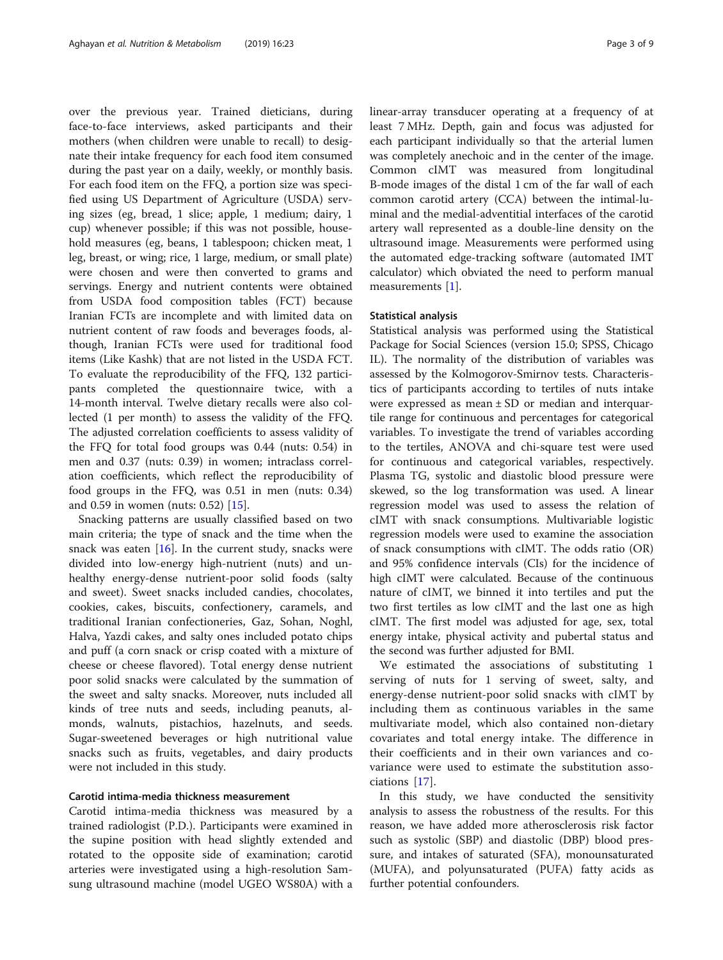over the previous year. Trained dieticians, during face-to-face interviews, asked participants and their mothers (when children were unable to recall) to designate their intake frequency for each food item consumed during the past year on a daily, weekly, or monthly basis. For each food item on the FFQ, a portion size was specified using US Department of Agriculture (USDA) serving sizes (eg, bread, 1 slice; apple, 1 medium; dairy, 1 cup) whenever possible; if this was not possible, household measures (eg, beans, 1 tablespoon; chicken meat, 1 leg, breast, or wing; rice, 1 large, medium, or small plate) were chosen and were then converted to grams and servings. Energy and nutrient contents were obtained from USDA food composition tables (FCT) because Iranian FCTs are incomplete and with limited data on nutrient content of raw foods and beverages foods, although, Iranian FCTs were used for traditional food items (Like Kashk) that are not listed in the USDA FCT. To evaluate the reproducibility of the FFQ, 132 participants completed the questionnaire twice, with a 14-month interval. Twelve dietary recalls were also collected (1 per month) to assess the validity of the FFQ. The adjusted correlation coefficients to assess validity of the FFQ for total food groups was 0.44 (nuts: 0.54) in men and 0.37 (nuts: 0.39) in women; intraclass correlation coefficients, which reflect the reproducibility of food groups in the FFQ, was 0.51 in men (nuts: 0.34) and 0.59 in women (nuts: 0.52) [[15](#page-8-0)].

Snacking patterns are usually classified based on two main criteria; the type of snack and the time when the snack was eaten  $[16]$  $[16]$ . In the current study, snacks were divided into low-energy high-nutrient (nuts) and unhealthy energy-dense nutrient-poor solid foods (salty and sweet). Sweet snacks included candies, chocolates, cookies, cakes, biscuits, confectionery, caramels, and traditional Iranian confectioneries, Gaz, Sohan, Noghl, Halva, Yazdi cakes, and salty ones included potato chips and puff (a corn snack or crisp coated with a mixture of cheese or cheese flavored). Total energy dense nutrient poor solid snacks were calculated by the summation of the sweet and salty snacks. Moreover, nuts included all kinds of tree nuts and seeds, including peanuts, almonds, walnuts, pistachios, hazelnuts, and seeds. Sugar-sweetened beverages or high nutritional value snacks such as fruits, vegetables, and dairy products were not included in this study.

# Carotid intima-media thickness measurement

Carotid intima-media thickness was measured by a trained radiologist (P.D.). Participants were examined in the supine position with head slightly extended and rotated to the opposite side of examination; carotid arteries were investigated using a high-resolution Samsung ultrasound machine (model UGEO WS80A) with a linear-array transducer operating at a frequency of at least 7 MHz. Depth, gain and focus was adjusted for each participant individually so that the arterial lumen was completely anechoic and in the center of the image. Common cIMT was measured from longitudinal B-mode images of the distal 1 cm of the far wall of each common carotid artery (CCA) between the intimal-luminal and the medial-adventitial interfaces of the carotid artery wall represented as a double-line density on the ultrasound image. Measurements were performed using the automated edge-tracking software (automated IMT calculator) which obviated the need to perform manual measurements [\[1](#page-8-0)].

# Statistical analysis

Statistical analysis was performed using the Statistical Package for Social Sciences (version 15.0; SPSS, Chicago IL). The normality of the distribution of variables was assessed by the Kolmogorov-Smirnov tests. Characteristics of participants according to tertiles of nuts intake were expressed as mean ± SD or median and interquartile range for continuous and percentages for categorical variables. To investigate the trend of variables according to the tertiles, ANOVA and chi-square test were used for continuous and categorical variables, respectively. Plasma TG, systolic and diastolic blood pressure were skewed, so the log transformation was used. A linear regression model was used to assess the relation of cIMT with snack consumptions. Multivariable logistic regression models were used to examine the association of snack consumptions with cIMT. The odds ratio (OR) and 95% confidence intervals (CIs) for the incidence of high cIMT were calculated. Because of the continuous nature of cIMT, we binned it into tertiles and put the two first tertiles as low cIMT and the last one as high cIMT. The first model was adjusted for age, sex, total energy intake, physical activity and pubertal status and the second was further adjusted for BMI.

We estimated the associations of substituting 1 serving of nuts for 1 serving of sweet, salty, and energy-dense nutrient-poor solid snacks with cIMT by including them as continuous variables in the same multivariate model, which also contained non-dietary covariates and total energy intake. The difference in their coefficients and in their own variances and covariance were used to estimate the substitution associations [[17\]](#page-8-0).

In this study, we have conducted the sensitivity analysis to assess the robustness of the results. For this reason, we have added more atherosclerosis risk factor such as systolic (SBP) and diastolic (DBP) blood pressure, and intakes of saturated (SFA), monounsaturated (MUFA), and polyunsaturated (PUFA) fatty acids as further potential confounders.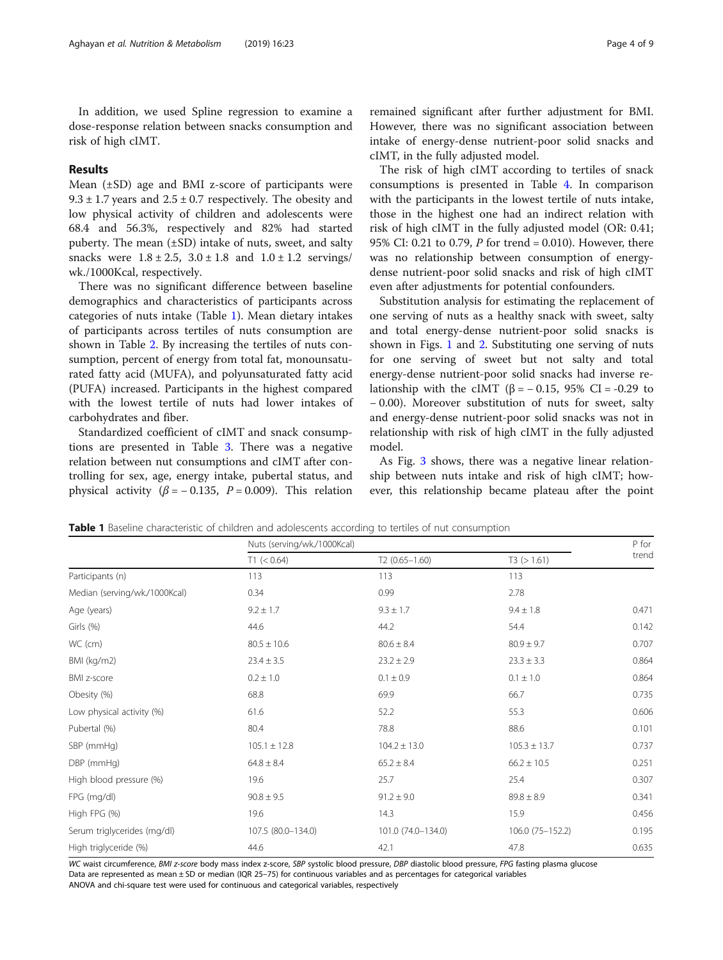# Results

Mean  $(\pm SD)$  age and BMI z-score of participants were  $9.3 \pm 1.7$  years and  $2.5 \pm 0.7$  respectively. The obesity and low physical activity of children and adolescents were 68.4 and 56.3%, respectively and 82% had started puberty. The mean (±SD) intake of nuts, sweet, and salty snacks were  $1.8 \pm 2.5$ ,  $3.0 \pm 1.8$  and  $1.0 \pm 1.2$  servings/ wk./1000Kcal, respectively.

There was no significant difference between baseline demographics and characteristics of participants across categories of nuts intake (Table 1). Mean dietary intakes of participants across tertiles of nuts consumption are shown in Table [2](#page-4-0). By increasing the tertiles of nuts consumption, percent of energy from total fat, monounsaturated fatty acid (MUFA), and polyunsaturated fatty acid (PUFA) increased. Participants in the highest compared with the lowest tertile of nuts had lower intakes of carbohydrates and fiber.

Standardized coefficient of cIMT and snack consumptions are presented in Table [3](#page-4-0). There was a negative relation between nut consumptions and cIMT after controlling for sex, age, energy intake, pubertal status, and physical activity ( $\beta$  = -0.135, P = 0.009). This relation

remained significant after further adjustment for BMI. However, there was no significant association between intake of energy-dense nutrient-poor solid snacks and cIMT, in the fully adjusted model.

The risk of high cIMT according to tertiles of snack consumptions is presented in Table [4](#page-5-0). In comparison with the participants in the lowest tertile of nuts intake, those in the highest one had an indirect relation with risk of high cIMT in the fully adjusted model (OR: 0.41; 95% CI: 0.21 to 0.79, P for trend = 0.010). However, there was no relationship between consumption of energydense nutrient-poor solid snacks and risk of high cIMT even after adjustments for potential confounders.

Substitution analysis for estimating the replacement of one serving of nuts as a healthy snack with sweet, salty and total energy-dense nutrient-poor solid snacks is shown in Figs. [1](#page-5-0) and [2.](#page-6-0) Substituting one serving of nuts for one serving of sweet but not salty and total energy-dense nutrient-poor solid snacks had inverse relationship with the cIMT (β =  $-0.15$ , 95% CI =  $-0.29$  to − 0.00). Moreover substitution of nuts for sweet, salty and energy-dense nutrient-poor solid snacks was not in relationship with risk of high cIMT in the fully adjusted model.

As Fig. [3](#page-6-0) shows, there was a negative linear relationship between nuts intake and risk of high cIMT; however, this relationship became plateau after the point

Nuts (serving/wk./1000Kcal) P for

Table 1 Baseline characteristic of children and adolescents according to tertiles of nut consumption

| T1 (< 0.64)        | $T2(0.65 - 1.60)$  | T3 (> 1.61)      | trend |  |
|--------------------|--------------------|------------------|-------|--|
| 113                | 113                | 113              |       |  |
| 0.34               | 0.99               | 2.78             |       |  |
| $9.2 \pm 1.7$      | $9.3 \pm 1.7$      | $9.4 \pm 1.8$    | 0.471 |  |
| 44.6               | 44.2               | 54.4             | 0.142 |  |
| $80.5 \pm 10.6$    | $80.6 \pm 8.4$     | $80.9 \pm 9.7$   | 0.707 |  |
| $23.4 \pm 3.5$     | $23.2 \pm 2.9$     | $23.3 \pm 3.3$   | 0.864 |  |
| $0.2 \pm 1.0$      | $0.1 \pm 0.9$      | $0.1 \pm 1.0$    | 0.864 |  |
| 68.8               | 69.9               | 66.7             | 0.735 |  |
| 61.6               | 52.2               | 55.3             | 0.606 |  |
| 80.4               | 78.8               | 88.6             | 0.101 |  |
| $105.1 \pm 12.8$   | $104.2 \pm 13.0$   | $105.3 \pm 13.7$ | 0.737 |  |
| $64.8 \pm 8.4$     | $65.2 \pm 8.4$     | $66.2 \pm 10.5$  | 0.251 |  |
| 19.6               | 25.7               | 25.4             | 0.307 |  |
| $90.8 \pm 9.5$     | $91.2 \pm 9.0$     | $89.8 \pm 8.9$   | 0.341 |  |
| 19.6               | 14.3               | 15.9             | 0.456 |  |
| 107.5 (80.0-134.0) | 101.0 (74.0-134.0) | 106.0 (75-152.2) | 0.195 |  |
| 44.6               | 42.1               | 47.8             | 0.635 |  |
|                    |                    |                  |       |  |

WC waist circumference, BMI z-score body mass index z-score, SBP systolic blood pressure, DBP diastolic blood pressure, FPG fasting plasma glucose Data are represented as mean  $\pm$  SD or median (IQR 25-75) for continuous variables and as percentages for categorical variables ANOVA and chi-square test were used for continuous and categorical variables, respectively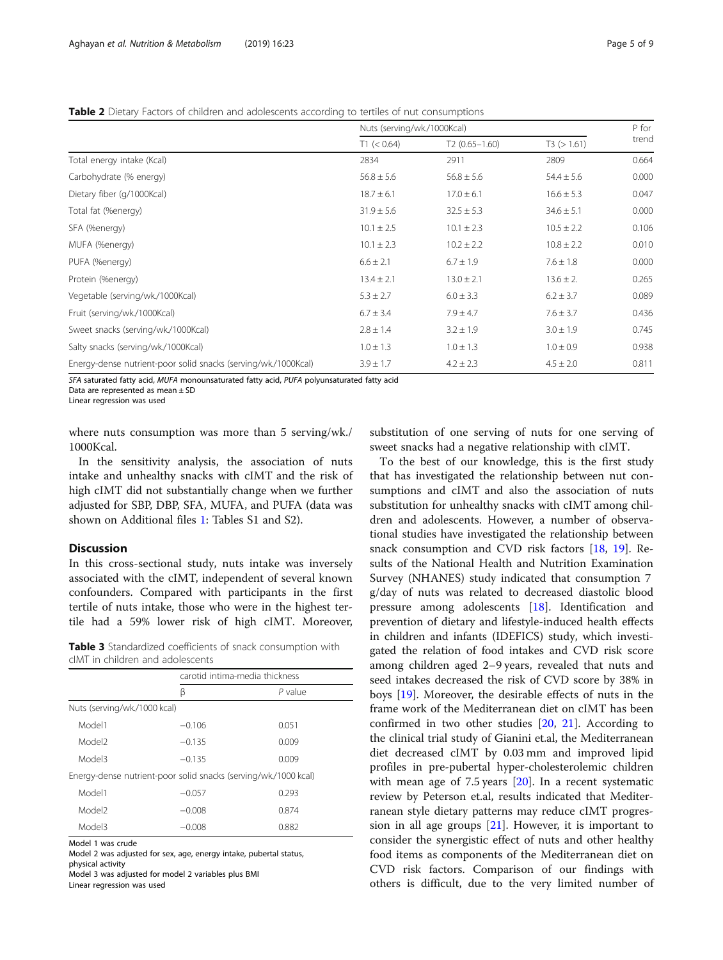<span id="page-4-0"></span>Table 2 Dietary Factors of children and adolescents according to tertiles of nut consumptions

|                                                                | Nuts (serving/wk./1000Kcal) |                   |                |       |
|----------------------------------------------------------------|-----------------------------|-------------------|----------------|-------|
|                                                                | T1 (< 0.64)                 | $T2(0.65 - 1.60)$ | T3 (> 1.61)    | trend |
| Total energy intake (Kcal)                                     | 2834                        | 2911              | 2809           | 0.664 |
| Carbohydrate (% energy)                                        | $56.8 \pm 5.6$              | $56.8 \pm 5.6$    | $54.4 \pm 5.6$ | 0.000 |
| Dietary fiber (g/1000Kcal)                                     | $18.7 \pm 6.1$              | $17.0 \pm 6.1$    | $16.6 \pm 5.3$ | 0.047 |
| Total fat (%energy)                                            | $31.9 \pm 5.6$              | $32.5 \pm 5.3$    | $34.6 \pm 5.1$ | 0.000 |
| SFA (%energy)                                                  | $10.1 \pm 2.5$              | $10.1 \pm 2.3$    | $10.5 \pm 2.2$ | 0.106 |
| MUFA (%energy)                                                 | $10.1 \pm 2.3$              | $10.2 \pm 2.2$    | $10.8 \pm 2.2$ | 0.010 |
| PUFA (%energy)                                                 | $6.6 \pm 2.1$               | $6.7 \pm 1.9$     | $7.6 \pm 1.8$  | 0.000 |
| Protein (%energy)                                              | $13.4 \pm 2.1$              | $13.0 \pm 2.1$    | $13.6 \pm 2.$  | 0.265 |
| Vegetable (serving/wk./1000Kcal)                               | $5.3 \pm 2.7$               | $6.0 \pm 3.3$     | $6.2 \pm 3.7$  | 0.089 |
| Fruit (serving/wk./1000Kcal)                                   | $6.7 \pm 3.4$               | $7.9 \pm 4.7$     | $7.6 \pm 3.7$  | 0.436 |
| Sweet snacks (serving/wk./1000Kcal)                            | $2.8 \pm 1.4$               | $3.2 \pm 1.9$     | $3.0 \pm 1.9$  | 0.745 |
| Salty snacks (serving/wk./1000Kcal)                            | $1.0 \pm 1.3$               | $1.0 \pm 1.3$     | $1.0 \pm 0.9$  | 0.938 |
| Energy-dense nutrient-poor solid snacks (serving/wk./1000Kcal) | $3.9 \pm 1.7$               | $4.2 \pm 2.3$     | $4.5 \pm 2.0$  | 0.811 |

SFA saturated fatty acid, MUFA monounsaturated fatty acid, PUFA polyunsaturated fatty acid

Data are represented as mean ± SD

Linear regression was used

where nuts consumption was more than 5 serving/wk./ 1000Kcal.

In the sensitivity analysis, the association of nuts intake and unhealthy snacks with cIMT and the risk of high cIMT did not substantially change when we further adjusted for SBP, DBP, SFA, MUFA, and PUFA (data was shown on Additional files [1:](#page-7-0) Tables S1 and S2).

# Discussion

In this cross-sectional study, nuts intake was inversely associated with the cIMT, independent of several known confounders. Compared with participants in the first tertile of nuts intake, those who were in the highest tertile had a 59% lower risk of high cIMT. Moreover,

Table 3 Standardized coefficients of snack consumption with cIMT in children and adolescents

|                                                                | carotid intima-media thickness |           |  |
|----------------------------------------------------------------|--------------------------------|-----------|--|
|                                                                | ß                              | $P$ value |  |
| Nuts (serving/wk/1000 kcal)                                    |                                |           |  |
| Model1                                                         | $-0.106$                       | 0.051     |  |
| Model <sub>2</sub>                                             | $-0.135$                       | 0.009     |  |
| ElehoM                                                         | $-0.135$                       | 0.009     |  |
| Energy-dense nutrient-poor solid snacks (serving/wk/1000 kcal) |                                |           |  |
| Model1                                                         | $-0.057$                       | 0.293     |  |
| Model <sub>2</sub>                                             | $-0.008$                       | 0.874     |  |
| Model3                                                         | $-0.008$                       | 0.882     |  |

Model 1 was crude

Model 2 was adjusted for sex, age, energy intake, pubertal status, physical activity

Model 3 was adjusted for model 2 variables plus BMI

Linear regression was used

substitution of one serving of nuts for one serving of sweet snacks had a negative relationship with cIMT.

To the best of our knowledge, this is the first study that has investigated the relationship between nut consumptions and cIMT and also the association of nuts substitution for unhealthy snacks with cIMT among children and adolescents. However, a number of observational studies have investigated the relationship between snack consumption and CVD risk factors [[18,](#page-8-0) [19\]](#page-8-0). Results of the National Health and Nutrition Examination Survey (NHANES) study indicated that consumption 7 g/day of nuts was related to decreased diastolic blood pressure among adolescents [[18\]](#page-8-0). Identification and prevention of dietary and lifestyle-induced health effects in children and infants (IDEFICS) study, which investigated the relation of food intakes and CVD risk score among children aged 2–9 years, revealed that nuts and seed intakes decreased the risk of CVD score by 38% in boys [\[19\]](#page-8-0). Moreover, the desirable effects of nuts in the frame work of the Mediterranean diet on cIMT has been confirmed in two other studies [[20](#page-8-0), [21](#page-8-0)]. According to the clinical trial study of Gianini et.al, the Mediterranean diet decreased cIMT by 0.03 mm and improved lipid profiles in pre-pubertal hyper-cholesterolemic children with mean age of 7.5 years [\[20](#page-8-0)]. In a recent systematic review by Peterson et.al, results indicated that Mediterranean style dietary patterns may reduce cIMT progression in all age groups  $[21]$  $[21]$ . However, it is important to consider the synergistic effect of nuts and other healthy food items as components of the Mediterranean diet on CVD risk factors. Comparison of our findings with others is difficult, due to the very limited number of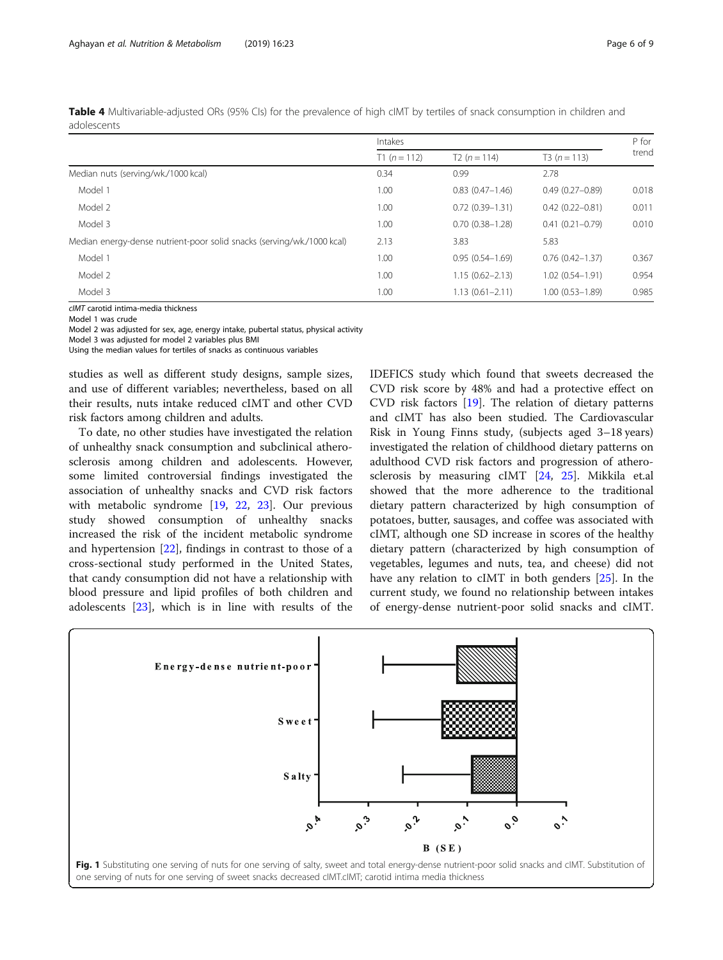<span id="page-5-0"></span>

| Table 4 Multivariable-adjusted ORs (95% Cls) for the prevalence of high cIMT by tertiles of snack consumption in children and |  |  |  |
|-------------------------------------------------------------------------------------------------------------------------------|--|--|--|
| adolescents                                                                                                                   |  |  |  |

|                                                                        | Intakes       |                     |                     | P for |
|------------------------------------------------------------------------|---------------|---------------------|---------------------|-------|
|                                                                        | $T1(n = 112)$ | $T2(n = 114)$       | $T3(n = 113)$       | trend |
| Median nuts (serving/wk./1000 kcal)                                    | 0.34          | 0.99                | 2.78                |       |
| Model 1                                                                | 1.00          | $0.83(0.47 - 1.46)$ | $0.49(0.27 - 0.89)$ | 0.018 |
| Model 2                                                                | 1.00          | $0.72(0.39 - 1.31)$ | $0.42(0.22 - 0.81)$ | 0.011 |
| Model 3                                                                | 1.00          | $0.70(0.38 - 1.28)$ | $0.41(0.21 - 0.79)$ | 0.010 |
| Median energy-dense nutrient-poor solid snacks (serving/wk./1000 kcal) | 2.13          | 3.83                | 5.83                |       |
| Model 1                                                                | 1.00          | $0.95(0.54 - 1.69)$ | $0.76(0.42 - 1.37)$ | 0.367 |
| Model 2                                                                | 1.00          | $1.15(0.62 - 2.13)$ | $1.02(0.54 - 1.91)$ | 0.954 |
| Model 3                                                                | 1.00          | $1.13(0.61 - 2.11)$ | $1.00(0.53 - 1.89)$ | 0.985 |

cIMT carotid intima-media thickness

Model 1 was crude

Model 2 was adjusted for sex, age, energy intake, pubertal status, physical activity

Model 3 was adjusted for model 2 variables plus BMI Using the median values for tertiles of snacks as continuous variables

studies as well as different study designs, sample sizes, and use of different variables; nevertheless, based on all their results, nuts intake reduced cIMT and other CVD risk factors among children and adults.

To date, no other studies have investigated the relation of unhealthy snack consumption and subclinical atherosclerosis among children and adolescents. However, some limited controversial findings investigated the association of unhealthy snacks and CVD risk factors with metabolic syndrome [[19,](#page-8-0) [22,](#page-8-0) [23\]](#page-8-0). Our previous study showed consumption of unhealthy snacks increased the risk of the incident metabolic syndrome and hypertension [[22\]](#page-8-0), findings in contrast to those of a cross-sectional study performed in the United States, that candy consumption did not have a relationship with blood pressure and lipid profiles of both children and adolescents [\[23\]](#page-8-0), which is in line with results of the IDEFICS study which found that sweets decreased the CVD risk score by 48% and had a protective effect on CVD risk factors [[19](#page-8-0)]. The relation of dietary patterns and cIMT has also been studied. The Cardiovascular Risk in Young Finns study, (subjects aged 3–18 years) investigated the relation of childhood dietary patterns on adulthood CVD risk factors and progression of atherosclerosis by measuring cIMT [[24,](#page-8-0) [25](#page-8-0)]. Mikkila et.al showed that the more adherence to the traditional dietary pattern characterized by high consumption of potatoes, butter, sausages, and coffee was associated with cIMT, although one SD increase in scores of the healthy dietary pattern (characterized by high consumption of vegetables, legumes and nuts, tea, and cheese) did not have any relation to cIMT in both genders [[25\]](#page-8-0). In the current study, we found no relationship between intakes of energy-dense nutrient-poor solid snacks and cIMT.

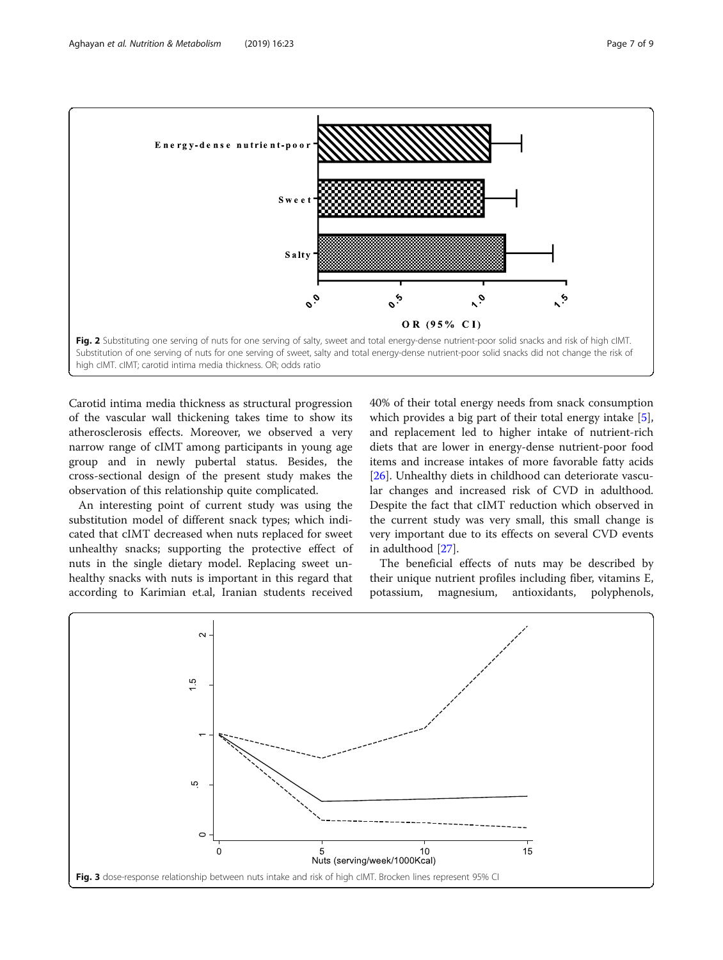<span id="page-6-0"></span>

Carotid intima media thickness as structural progression of the vascular wall thickening takes time to show its atherosclerosis effects. Moreover, we observed a very narrow range of cIMT among participants in young age group and in newly pubertal status. Besides, the cross-sectional design of the present study makes the observation of this relationship quite complicated.

An interesting point of current study was using the substitution model of different snack types; which indicated that cIMT decreased when nuts replaced for sweet unhealthy snacks; supporting the protective effect of nuts in the single dietary model. Replacing sweet unhealthy snacks with nuts is important in this regard that according to Karimian et.al, Iranian students received

40% of their total energy needs from snack consumption which provides a big part of their total energy intake [\[5](#page-8-0)], and replacement led to higher intake of nutrient-rich diets that are lower in energy-dense nutrient-poor food items and increase intakes of more favorable fatty acids [[26\]](#page-8-0). Unhealthy diets in childhood can deteriorate vascular changes and increased risk of CVD in adulthood. Despite the fact that cIMT reduction which observed in the current study was very small, this small change is very important due to its effects on several CVD events in adulthood [\[27\]](#page-8-0).

The beneficial effects of nuts may be described by their unique nutrient profiles including fiber, vitamins E, potassium, magnesium, antioxidants, polyphenols,

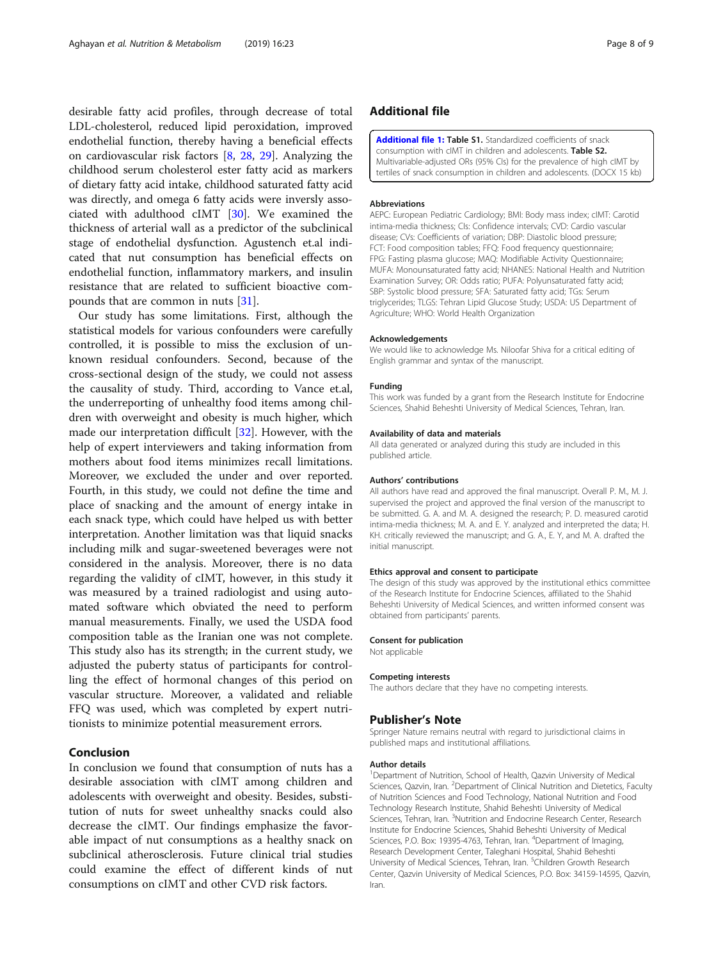<span id="page-7-0"></span>desirable fatty acid profiles, through decrease of total LDL-cholesterol, reduced lipid peroxidation, improved endothelial function, thereby having a beneficial effects on cardiovascular risk factors [\[8,](#page-8-0) [28,](#page-8-0) [29\]](#page-8-0). Analyzing the childhood serum cholesterol ester fatty acid as markers of dietary fatty acid intake, childhood saturated fatty acid was directly, and omega 6 fatty acids were inversly associated with adulthood cIMT [[30\]](#page-8-0). We examined the thickness of arterial wall as a predictor of the subclinical stage of endothelial dysfunction. Agustench et.al indicated that nut consumption has beneficial effects on endothelial function, inflammatory markers, and insulin resistance that are related to sufficient bioactive compounds that are common in nuts [\[31](#page-8-0)].

Our study has some limitations. First, although the statistical models for various confounders were carefully controlled, it is possible to miss the exclusion of unknown residual confounders. Second, because of the cross-sectional design of the study, we could not assess the causality of study. Third, according to Vance et.al, the underreporting of unhealthy food items among children with overweight and obesity is much higher, which made our interpretation difficult [[32\]](#page-8-0). However, with the help of expert interviewers and taking information from mothers about food items minimizes recall limitations. Moreover, we excluded the under and over reported. Fourth, in this study, we could not define the time and place of snacking and the amount of energy intake in each snack type, which could have helped us with better interpretation. Another limitation was that liquid snacks including milk and sugar-sweetened beverages were not considered in the analysis. Moreover, there is no data regarding the validity of cIMT, however, in this study it was measured by a trained radiologist and using automated software which obviated the need to perform manual measurements. Finally, we used the USDA food composition table as the Iranian one was not complete. This study also has its strength; in the current study, we adjusted the puberty status of participants for controlling the effect of hormonal changes of this period on vascular structure. Moreover, a validated and reliable FFQ was used, which was completed by expert nutritionists to minimize potential measurement errors.

# Conclusion

In conclusion we found that consumption of nuts has a desirable association with cIMT among children and adolescents with overweight and obesity. Besides, substitution of nuts for sweet unhealthy snacks could also decrease the cIMT. Our findings emphasize the favorable impact of nut consumptions as a healthy snack on subclinical atherosclerosis. Future clinical trial studies could examine the effect of different kinds of nut consumptions on cIMT and other CVD risk factors.

# Additional file

[Additional file 1:](https://doi.org/10.1186/s12986-019-0350-y) Table S1. Standardized coefficients of snack consumption with cIMT in children and adolescents. Table S2. Multivariable-adjusted ORs (95% CIs) for the prevalence of high cIMT by tertiles of snack consumption in children and adolescents. (DOCX 15 kb)

#### Abbreviations

AEPC: European Pediatric Cardiology; BMI: Body mass index; cIMT: Carotid intima-media thickness; CIs: Confidence intervals; CVD: Cardio vascular disease; CVs: Coefficients of variation; DBP: Diastolic blood pressure; FCT: Food composition tables; FFQ: Food frequency questionnaire; FPG: Fasting plasma glucose; MAQ: Modifiable Activity Questionnaire; MUFA: Monounsaturated fatty acid; NHANES: National Health and Nutrition Examination Survey; OR: Odds ratio; PUFA: Polyunsaturated fatty acid; SBP: Systolic blood pressure; SFA: Saturated fatty acid; TGs: Serum triglycerides; TLGS: Tehran Lipid Glucose Study; USDA: US Department of Agriculture; WHO: World Health Organization

#### Acknowledgements

We would like to acknowledge Ms. Niloofar Shiva for a critical editing of English grammar and syntax of the manuscript.

#### Funding

This work was funded by a grant from the Research Institute for Endocrine Sciences, Shahid Beheshti University of Medical Sciences, Tehran, Iran.

#### Availability of data and materials

All data generated or analyzed during this study are included in this published article.

#### Authors' contributions

All authors have read and approved the final manuscript. Overall P. M., M. J. supervised the project and approved the final version of the manuscript to be submitted. G. A. and M. A. designed the research; P. D. measured carotid intima-media thickness; M. A. and E. Y. analyzed and interpreted the data; H. KH. critically reviewed the manuscript; and G. A., E. Y, and M. A. drafted the initial manuscript.

#### Ethics approval and consent to participate

The design of this study was approved by the institutional ethics committee of the Research Institute for Endocrine Sciences, affiliated to the Shahid Beheshti University of Medical Sciences, and written informed consent was obtained from participants' parents.

#### Consent for publication

Not applicable

# Competing interests

The authors declare that they have no competing interests.

### Publisher's Note

Springer Nature remains neutral with regard to jurisdictional claims in published maps and institutional affiliations.

# Author details

<sup>1</sup>Department of Nutrition, School of Health, Qazvin University of Medical Sciences, Qazvin, Iran. <sup>2</sup> Department of Clinical Nutrition and Dietetics, Faculty of Nutrition Sciences and Food Technology, National Nutrition and Food Technology Research Institute, Shahid Beheshti University of Medical Sciences, Tehran, Iran. <sup>3</sup>Nutrition and Endocrine Research Center, Research Institute for Endocrine Sciences, Shahid Beheshti University of Medical Sciences, P.O. Box: 19395-4763, Tehran, Iran. <sup>4</sup>Department of Imaging Research Development Center, Taleghani Hospital, Shahid Beheshti University of Medical Sciences, Tehran, Iran. <sup>5</sup>Children Growth Research Center, Qazvin University of Medical Sciences, P.O. Box: 34159-14595, Qazvin, Iran.